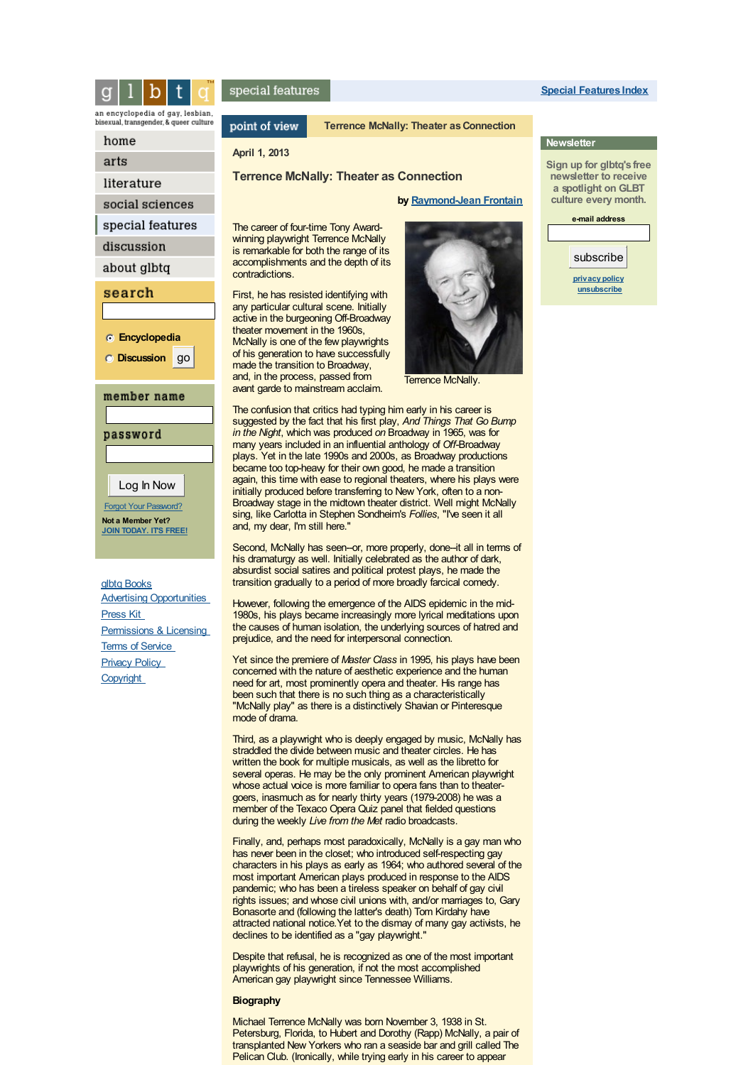

an encyclopedia of gay, lesbian, bisexual, transgender, & queer culture

### home

arts

literature

social sciences

special features

discussion

about glbtq

# search

**Encyclopedia**

**Discussion** go

### member name

password

Log In Now

Forgot Your [Password?](/discussion/profile.php?mode=sendpassword&sid=) **Not a Member Yet? JOIN [TODAY.](/discussion/profile.php?mode=register) IT'S FREE!**

glbtq [Books](/about/qeva.htm) Advertising [Opportunities](/about/advertising.htm) [Press](http://www.glbtq.com/about/presskit.htm) Ki[t](http://www.glbtq.com/about/presskit.htm) [Permissions](/about/licensing.htm) & Licensin[g](/about/licensing.htm) Terms of [Service](/about/tos.htm) **[Privacy](/about/privacy.htm) Polic[y](/about/privacy.htm) [Copyright](/about/copyright.htm)** 

# special features

point of view

# **Terrence McNally: Theater as Connection**

## **April 1, 2013**

### **Terrence McNally: Theater as Connection**

### **by [Raymond-Jean](#page-15-0) Frontain**

The career of four-time Tony Awardwinning playwright Terrence McNally is remarkable for both the range of its accomplishments and the depth of its contradictions.

First, he has resisted identifying with any particular cultural scene. Initially active in the burgeoning Off-Broadway theater movement in the 1960s, McNally is one of the few playwrights of his generation to have successfully made the transition to Broadway, and, in the process, passed from avant garde to mainstream acclaim.



Terrence McNally.

The confusion that critics had typing him early in his career is suggested by the fact that his first play, *And Things That Go Bump in the Night*, which was produced *on* Broadway in 1965, was for many years included in an influential anthology of *Off*-Broadway plays. Yet in the late 1990s and 2000s, as Broadway productions became too top-heavy for their own good, he made a transition again, this time with ease to regional theaters, where his plays were initially produced before transferring to New York, often to a non-Broadway stage in the midtown theater district. Well might McNally sing, like Carlotta in Stephen Sondheim's *Follies*, "I've seen it all and, my dear, I'm still here."

Second, McNally has seen-or, more properly, done-it all in terms of his dramaturgy as well. Initially celebrated as the author of dark, absurdist social satires and political protest plays, he made the transition gradually to a period of more broadly farcical comedy.

However, following the emergence of the AIDS epidemic in the mid-1980s, his plays became increasingly more lyrical meditations upon the causes of human isolation, the underlying sources of hatred and prejudice, and the need for interpersonal connection.

Yet since the premiere of *Master Class* in 1995, his plays have been concerned with the nature of aesthetic experience and the human need for art, most prominently opera and theater. His range has been such that there is no such thing as a characteristically "McNally play" as there is a distinctively Shavian or Pinteresque mode of drama.

Third, as a playwright who is deeply engaged by music, McNally has straddled the divide between music and theater circles. He has written the book for multiple musicals, as well as the libretto for several operas. He may be the only prominent American playwright whose actual voice is more familiar to opera fans than to theatergoers, inasmuch as for nearly thirty years (1979-2008) he was a member of the Texaco Opera Quiz panel that fielded questions during the weekly *Live from the Met* radio broadcasts.

Finally, and, perhaps most paradoxically, McNally is a gay man who has never been in the closet; who introduced self-respecting gay characters in his plays as early as 1964; who authored several of the most important American plays produced in response to the AIDS pandemic; who has been a tireless speaker on behalf of gay civil rights issues; and whose civil unions with, and/or marriages to, Gary Bonasorte and (following the latter's death) Tom Kirdahy have attracted national notice.Yet to the dismay of many gay activists, he declines to be identified as a "gay playwright."

Despite that refusal, he is recognized as one of the most important playwrights of his generation, if not the most accomplished American gay playwright since Tennessee Williams.

### **Biography**

Michael Terrence McNally was born November 3, 1938 in St. Petersburg, Florida, to Hubert and Dorothy (Rapp) McNally, a pair of transplanted New Yorkers who ran a seaside bar and grill called The Pelican Club. (Ironically, while trying early in his career to appear

**Special [Features](/sfeatures) Index**

# **Sign up for glbtq's free**

**Newsletter**

**newsletter to receive a spotlight on GLBT culture every month.**

**e-mail address**

subscribe

**[privacy](/about/privacy.htm) policy [unsubscribe](/lists/?p=unsubscribe)**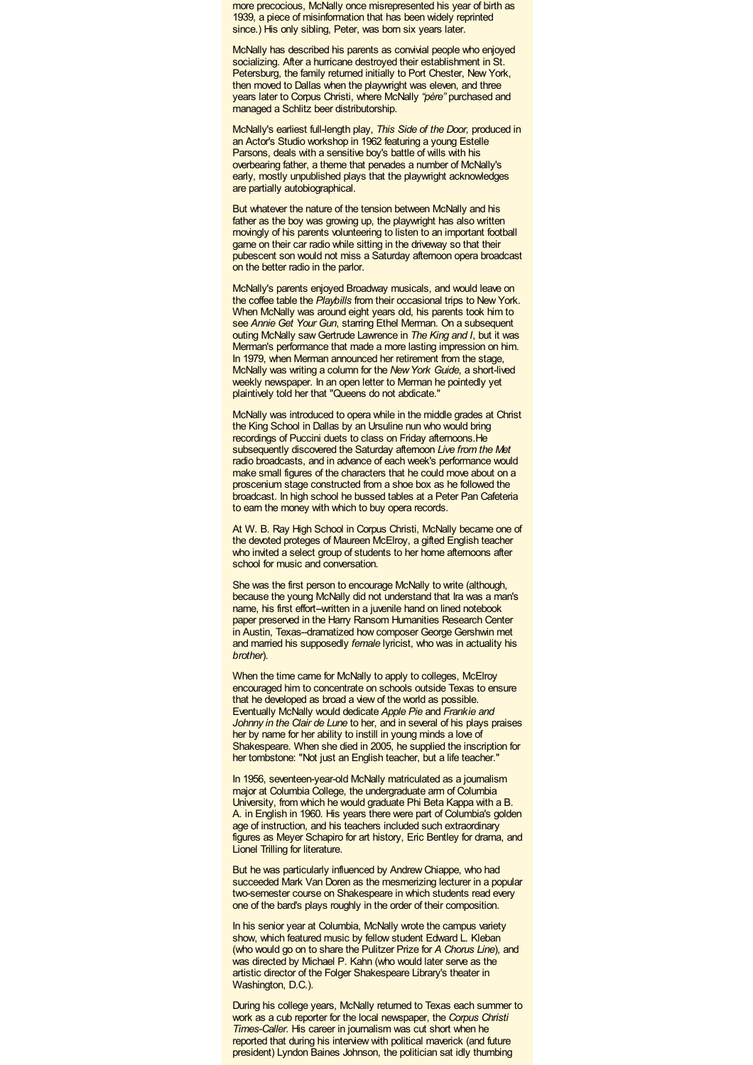more precocious, McNally once misrepresented his year of birth as 1939, a piece of misinformation that has been widely reprinted since.) His only sibling, Peter, was born six years later.

McNally has described his parents as convivial people who enjoyed socializing. After a hurricane destroyed their establishment in St. Petersburg, the family returned initially to Port Chester, New York, then moved to Dallas when the playwright was eleven, and three years later to Corpus Christi, where McNally *"père"* purchased and managed a Schlitz beer distributorship.

McNally's earliest full-length play, *This Side of the Door,* produced in an Actor's Studio workshop in 1962 featuring a young Estelle Parsons, deals with a sensitive boy's battle of wills with his overbearing father, a theme that pervades a number of McNally's early, mostly unpublished plays that the playwright acknowledges are partially autobiographical.

But whatever the nature of the tension between McNally and his father as the boy was growing up, the playwright has also written movingly of his parents volunteering to listen to an important football game on their car radio while sitting in the driveway so that their pubescent son would not miss a Saturday afternoon opera broadcast on the better radio in the parlor.

McNally's parents enjoyed Broadway musicals, and would leave on the coffee table the *Playbills* from their occasional trips to New York. When McNally was around eight years old, his parents took him to see *Annie Get Your Gun*, starring Ethel Merman. On a subsequent outing McNally sawGertrude Lawrence in *The King and I*, but it was Merman's performance that made a more lasting impression on him. In 1979, when Merman announced her retirement from the stage, McNally was writing a column for the *NewYork Guide*, a short-lived weekly newspaper. In an open letter to Merman he pointedly yet plaintively told her that "Queens do not abdicate."

McNally was introduced to opera while in the middle grades at Christ the King School in Dallas by an Ursuline nun who would bring recordings of Puccini duets to class on Friday afternoons.He subsequently discovered the Saturday afternoon *Live from the Met* radio broadcasts, and in advance of each week's performance would make small figures of the characters that he could move about on a proscenium stage constructed from a shoe box as he followed the broadcast. In high school he bussed tables at a Peter Pan Cafeteria to earn the money with which to buy opera records.

At W. B. Ray High School in Corpus Christi, McNally became one of the devoted proteges of Maureen McElroy, a gifted English teacher who invited a select group of students to her home afternoons after school for music and conversation.

She was the first person to encourage McNally to write (although, because the young McNally did not understand that Ira was a man's name, his first effort--written in a juvenile hand on lined notebook paper preserved in the Harry Ransom Humanities Research Center in Austin, Texas--dramatized how composer George Gershwin met and married his supposedly *female* lyricist, who was in actuality his *brother*).

When the time came for McNally to apply to colleges, McElroy encouraged him to concentrate on schools outside Texas to ensure that he developed as broad a view of the world as possible. Eventually McNally would dedicate *Apple Pie* and *Frankie and Johnny in the Clair de Lune* to her, and in several of his plays praises her by name for her ability to instill in young minds a love of Shakespeare. When she died in 2005, he supplied the inscription for her tombstone: "Not just an English teacher, but a life teacher."

In 1956, seventeen-year-old McNally matriculated as a journalism major at Columbia College, the undergraduate arm of Columbia University, from which he would graduate Phi Beta Kappa with a B. A. in English in 1960. His years there were part of Columbia's golden age of instruction, and his teachers included such extraordinary figures as Meyer Schapiro for art history, Eric Bentley for drama, and Lionel Trilling for literature.

But he was particularly influenced by Andrew Chiappe, who had succeeded Mark Van Doren as the mesmerizing lecturer in a popular two-semester course on Shakespeare in which students read every one of the bard's plays roughly in the order of their composition.

In his senior year at Columbia, McNally wrote the campus variety show, which featured music by fellow student Edward L. Kleban (who would go on to share the Pulitzer Prize for *A Chorus Line*), and was directed by Michael P. Kahn (who would later serve as the artistic director of the Folger Shakespeare Library's theater in Washington, D.C.).

During his college years, McNally returned to Texas each summer to work as a cub reporter for the local newspaper, the *Corpus Christi Times-Caller*. His career in journalism was cut short when he reported that during his interview with political maverick (and future president) Lyndon Baines Johnson, the politician sat idly thumbing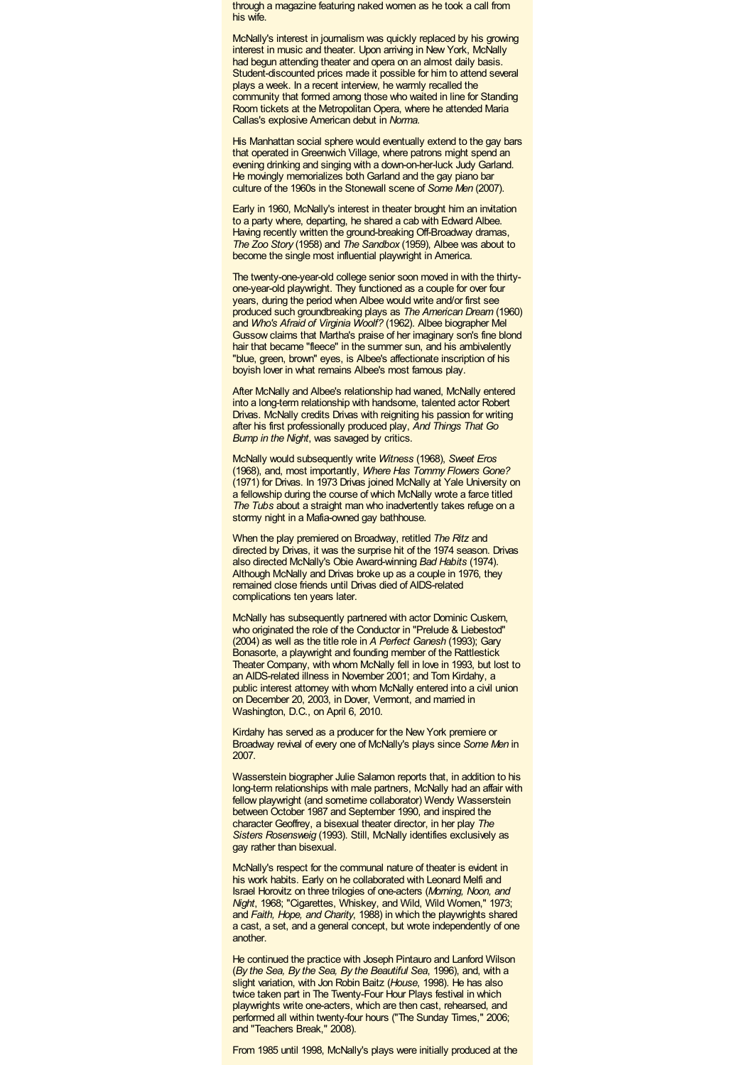through a magazine featuring naked women as he took a call from his wife.

McNally's interest in journalism was quickly replaced by his growing interest in music and theater. Upon arriving in New York, McNally had begun attending theater and opera on an almost daily basis. Student-discounted prices made it possible for him to attend several plays a week. In a recent interview, he warmly recalled the community that formed among those who waited in line for Standing Room tickets at the Metropolitan Opera, where he attended Maria Callas's explosive American debut in *Norma*.

His Manhattan social sphere would eventually extend to the gay bars that operated in Greenwich Village, where patrons might spend an evening drinking and singing with a down-on-her-luck Judy Garland. He movingly memorializes both Garland and the gay piano bar culture of the 1960s in the Stonewall scene of *Some Men* (2007).

Early in 1960, McNally's interest in theater brought him an invitation to a party where, departing, he shared a cab with Edward Albee. Having recently written the ground-breaking Off-Broadway dramas, *The Zoo Story* (1958) and *The Sandbox* (1959), Albee was about to become the single most influential playwright in America.

The twenty-one-year-old college senior soon moved in with the thirtyone-year-old playwright. They functioned as a couple for over four years, during the period when Albee would write and/or first see produced such groundbreaking plays as *The American Dream* (1960) and *Who's Afraid of Virginia Woolf?* (1962). Albee biographer Mel Gussow claims that Martha's praise of her imaginary son's fine blond hair that became "fleece" in the summer sun, and his ambivalently "blue, green, brown" eyes, is Albee's affectionate inscription of his boyish lover in what remains Albee's most famous play.

After McNally and Albee's relationship had waned, McNally entered into a long-term relationship with handsome, talented actor Robert Drivas. McNally credits Drivas with reigniting his passion for writing after his first professionally produced play, *And Things That Go Bump in the Night*, was savaged by critics.

McNally would subsequently write *Witness* (1968), *Sweet Eros* (1968), and, most importantly, *Where Has Tommy Flowers Gone?* (1971) for Drivas. In 1973 Drivas joined McNally at Yale University on a fellowship during the course of which McNally wrote a farce titled *The Tubs* about a straight man who inadvertently takes refuge on a stormy night in a Mafia-owned gay bathhouse.

When the play premiered on Broadway, retitled *The Ritz* and directed by Drivas, it was the surprise hit of the 1974 season. Drivas also directed McNally's Obie Award-winning *Bad Habits* (1974). Although McNally and Drivas broke up as a couple in 1976, they remained close friends until Drivas died of AIDS-related complications ten years later.

McNally has subsequently partnered with actor Dominic Cuskern, who originated the role of the Conductor in "Prelude & Liebestod" (2004) as well as the title role in *A Perfect Ganesh* (1993); Gary Bonasorte, a playwright and founding member of the Rattlestick Theater Company, with whom McNally fell in love in 1993, but lost to an AIDS-related illness in November 2001; and Tom Kirdahy, a public interest attorney with whom McNally entered into a civil union on December 20, 2003, in Dover, Vermont, and married in Washington, D.C., on April 6, 2010.

Kirdahy has served as a producer for the New York premiere or Broadway revival of every one of McNally's plays since *Some Men* in 2007.

Wasserstein biographer Julie Salamon reports that, in addition to his long-term relationships with male partners, McNally had an affair with fellow playwright (and sometime collaborator) Wendy Wasserstein between October 1987 and September 1990, and inspired the character Geoffrey, a bisexual theater director, in her play *The Sisters Rosensweig* (1993). Still, McNally identifies exclusively as gay rather than bisexual.

McNally's respect for the communal nature of theater is evident in his work habits. Early on he collaborated with Leonard Melfi and Israel Horovitz on three trilogies of one-acters (*Morning, Noon, and Night*, 1968; "Cigarettes, Whiskey, and Wild, Wild Women," 1973; and *Faith, Hope, and Charity*, 1988) in which the playwrights shared a cast, a set, and a general concept, but wrote independently of one another.

He continued the practice with Joseph Pintauro and Lanford Wilson (*By the Sea, By the Sea, By the Beautiful Sea*, 1996), and, with a slight variation, with Jon Robin Baitz (*House*, 1998). He has also twice taken part in The Twenty-Four Hour Plays festival in which playwrights write one-acters, which are then cast, rehearsed, and performed all within twenty-four hours ("The Sunday Times," 2006; and "Teachers Break," 2008).

From 1985 until 1998, McNally's plays were initially produced at the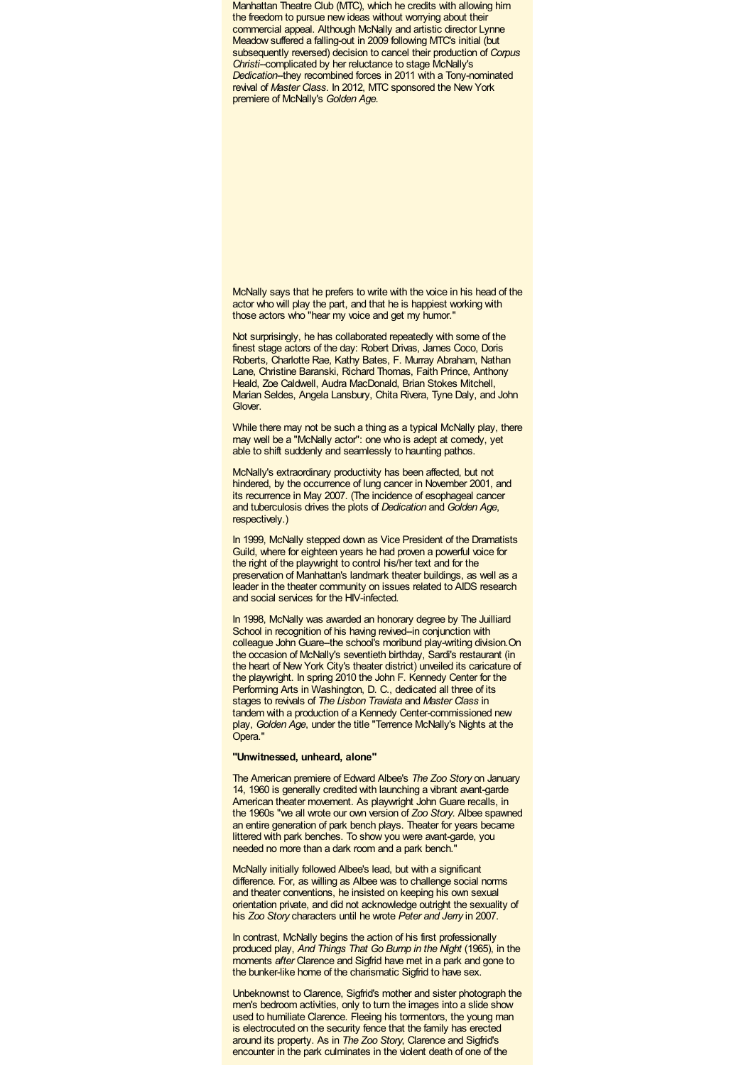Manhattan Theatre Club (MTC), which he credits with allowing him the freedom to pursue new ideas without worrying about their commercial appeal. Although McNally and artistic director Lynne Meadow suffered a falling-out in 2009 following MTC's initial (but subsequently reversed) decision to cancel their production of *Corpus Christi--*complicated by her reluctance to stage McNally's **Dedication-they recombined forces in 2011 with a Tony-nominated** revival of *Master Class*. In 2012, MTC sponsored the New York premiere of McNally's *Golden Age*.

McNally says that he prefers to write with the voice in his head of the actor who will play the part, and that he is happiest working with those actors who "hear my voice and get my humor."

Not surprisingly, he has collaborated repeatedly with some of the finest stage actors of the day: Robert Drivas, James Coco, Doris Roberts, Charlotte Rae, Kathy Bates, F. Murray Abraham, Nathan Lane, Christine Baranski, Richard Thomas, Faith Prince, Anthony Heald, Zoe Caldwell, Audra MacDonald, Brian Stokes Mitchell, Marian Seldes, Angela Lansbury, Chita Rivera, Tyne Daly, and John Glover.

While there may not be such a thing as a typical McNally play, there may well be a "McNally actor": one who is adept at comedy, yet able to shift suddenly and seamlessly to haunting pathos.

McNally's extraordinary productivity has been affected, but not hindered, by the occurrence of lung cancer in November 2001, and its recurrence in May 2007. (The incidence of esophageal cancer and tuberculosis drives the plots of *Dedication* and *Golden Age*, respectively.)

In 1999, McNally stepped down as Vice President of the Dramatists Guild, where for eighteen years he had proven a powerful voice for the right of the playwright to control his/her text and for the preservation of Manhattan's landmark theater buildings, as well as a leader in the theater community on issues related to AIDS research and social services for the HIV-infected.

In 1998, McNally was awarded an honorary degree by The Juilliard School in recognition of his having revived-in conjunction with colleague John Guare--the school's moribund play-writing division. On the occasion of McNally's seventieth birthday, Sardi's restaurant (in the heart of New York City's theater district) unveiled its caricature of the playwright. In spring 2010 the John F. Kennedy Center for the Performing Arts in Washington, D. C., dedicated all three of its stages to revivals of *The Lisbon Traviata* and *Master Class* in tandem with a production of a Kennedy Center-commissioned new play, *Golden Age*, under the title "Terrence McNally's Nights at the Opera<sup>'</sup>

### **"Unwitnessed, unheard, alone"**

The American premiere of Edward Albee's *The Zoo Story* on January 14, 1960 is generally credited with launching a vibrant avant-garde American theater movement. As playwright John Guare recalls, in the 1960s "we all wrote our own version of *Zoo Story*. Albee spawned an entire generation of park bench plays. Theater for years became littered with park benches. To show you were avant-garde, you needed no more than a dark room and a park bench.

McNally initially followed Albee's lead, but with a significant difference. For, as willing as Albee was to challenge social norms and theater conventions, he insisted on keeping his own sexual orientation private, and did not acknowledge outright the sexuality of his *Zoo Story* characters until he wrote *Peter and Jerry* in 2007.

In contrast. McNally begins the action of his first professionally produced play, *And Things That Go Bump in the Night* (1965), in the moments *after* Clarence and Sigfrid have met in a park and gone to the bunker-like home of the charismatic Sigfrid to have sex.

Unbeknownst to Clarence, Sigfrid's mother and sister photograph the men's bedroom activities, only to turn the images into a slide show used to humiliate Clarence. Fleeing his tormentors, the young man is electrocuted on the security fence that the family has erected around its property. As in *The Zoo Story*, Clarence and Sigfrid's encounter in the park culminates in the violent death of one of the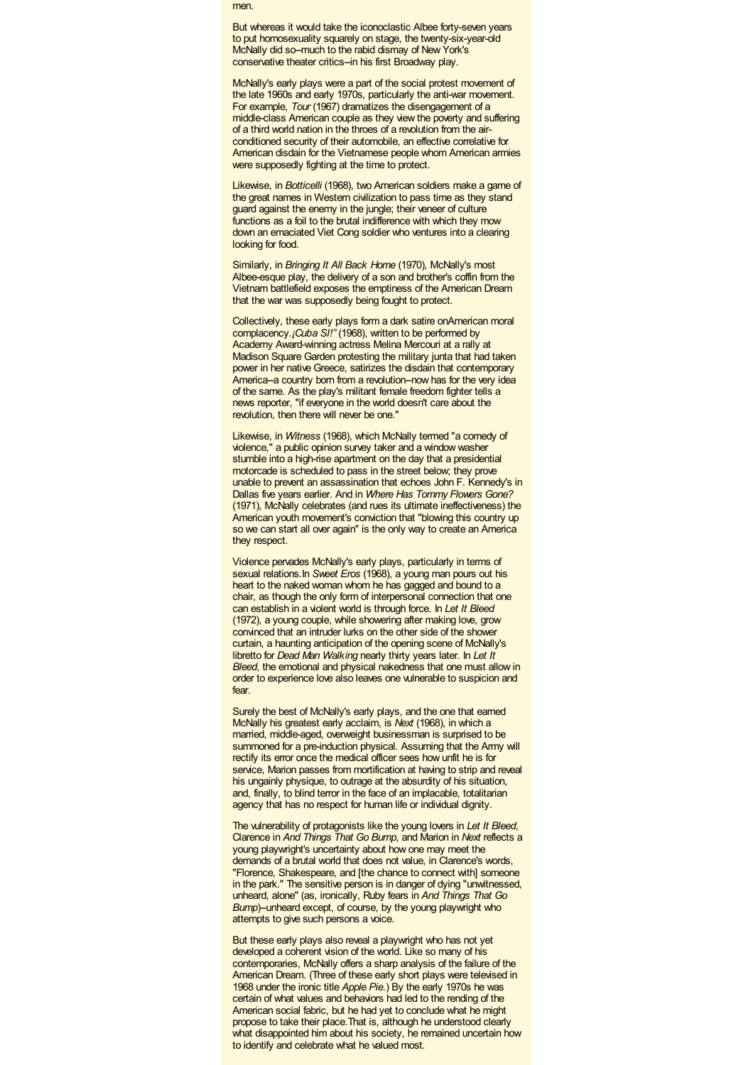men.

But whereas it would take the iconoclastic Albee forty-seven years to put homosexuality squarely on stage, the twenty-six-year-old McNally did so-much to the rabid dismay of New York's conservative theater critics-in his first Broadway play.

McNally's early plays were a part of the social protest movement of the late 1960s and early 1970s, particularly the anti-war movement. For example, *Tour* (1967) dramatizes the disengagement of a middle-class American couple as they view the poverty and suffering of a third world nation in the throes of a revolution from the airconditioned security of their automobile, an effective correlative for American disdain for the Vietnamese people whom American armies were supposedly fighting at the time to protect.

Likewise, in *Botticelli* (1968), two American soldiers make a game of the great names in Western civilization to pass time as they stand guard against the enemy in the jungle; their veneer of culture functions as a foil to the brutal indifference with which they mow down an emaciated Viet Cong soldier who ventures into a clearing looking for food.

Similarly, in *Bringing It All Back Home* (1970), McNally's most Albee-esque play, the delivery of a son and brother's coffin from the Vietnam battlefield exposes the emptiness of the American Dream that the war was supposedly being fought to protect.

Collectively, these early plays form a dark satire onAmerican moral complacency.*¡Cuba SI!"* (1968), written to be performed by Academy Award-winning actress Melina Mercouri at a rally at Madison Square Garden protesting the military junta that had taken power in her native Greece, satirizes the disdain that contemporary America-a country born from a revolution-now has for the very idea of the same. As the play's militant female freedom fighter tells a news reporter, "if everyone in the world doesn't care about the revolution, then there will never be one."

Likewise, in *Witness* (1968), which McNally termed "a comedy of violence," a public opinion survey taker and a window washer stumble into a high-rise apartment on the day that a presidential motorcade is scheduled to pass in the street below; they prove unable to prevent an assassination that echoes John F. Kennedy's in Dallas five years earlier. And in *Where Has Tommy Flowers Gone?* (1971), McNally celebrates (and rues its ultimate ineffectiveness) the American youth movement's conviction that "blowing this country up so we can start all over again" is the only way to create an America they respect.

Violence pervades McNally's early plays, particularly in terms of sexual relations.In *Sweet Eros* (1968), a young man pours out his heart to the naked woman whom he has gagged and bound to a chair, as though the only form of interpersonal connection that one can establish in a violent world is through force. In *Let It Bleed* (1972), a young couple, while showering after making love, grow convinced that an intruder lurks on the other side of the shower curtain, a haunting anticipation of the opening scene of McNally's libretto for *Dead Man Walking* nearly thirty years later. In *Let It Bleed*, the emotional and physical nakedness that one must allow in order to experience love also leaves one vulnerable to suspicion and fear.

Surely the best of McNally's early plays, and the one that earned McNally his greatest early acclaim, is *Next* (1968), in which a married, middle-aged, overweight businessman is surprised to be summoned for a pre-induction physical. Assuming that the Army will rectify its error once the medical officer sees how unfit he is for service. Marion passes from mortification at having to strip and reveal his ungainly physique, to outrage at the absurdity of his situation, and, finally, to blind terror in the face of an implacable, totalitarian agency that has no respect for human life or individual dignity.

The vulnerability of protagonists like the young lovers in *Let It Bleed*, Clarence in *And Things That Go Bump*, and Marion in *Next* reflects a young playwright's uncertainty about how one may meet the demands of a brutal world that does not value, in Clarence's words, "Florence, Shakespeare, and [the chance to connect with] someone in the park." The sensitive person is in danger of dying "unwitnessed, unheard, alone" (as, ironically, Ruby fears in *And Things That Go Bump*)--unheard except, of course, by the young playwright who attempts to give such persons a voice.

But these early plays also reveal a playwright who has not yet developed a coherent vision of the world. Like so many of his contemporaries, McNally offers a sharp analysis of the failure of the American Dream. (Three of these early short plays were televised in 1968 under the ironic title *Apple Pie*.) By the early 1970s he was certain of what values and behaviors had led to the rending of the American social fabric, but he had yet to conclude what he might propose to take their place.That is, although he understood clearly what disappointed him about his society, he remained uncertain how to identify and celebrate what he valued most.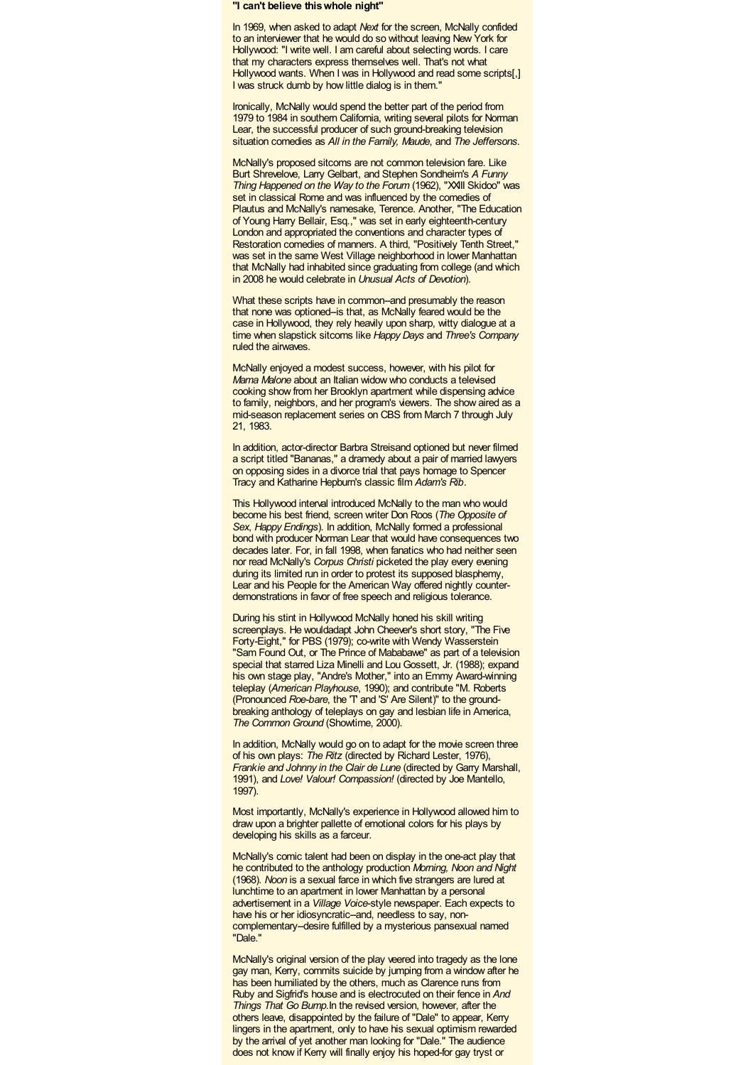**"I can't believe thiswhole night"**

In 1969, when asked to adapt *Next* for the screen, McNally confided to an interviewer that he would do so without leaving New York for Hollywood: "I write well. I am careful about selecting words. I care that my characters express themselves well. That's not what Hollywood wants. When I was in Hollywood and read some scripts[,] I was struck dumb by how little dialog is in them."

Ironically, McNally would spend the better part of the period from 1979 to 1984 in southern California, writing several pilots for Norman Lear, the successful producer of such ground-breaking television situation comedies as *All in the Family, Maude*, and *The Jeffersons*.

McNally's proposed sitcoms are not common television fare. Like Burt Shrevelove, Larry Gelbart, and Stephen Sondheim's *A Funny Thing Happened on the Way to the Forum* (1962), "XXIII Skidoo" was set in classical Rome and was influenced by the comedies of Plautus and McNally's namesake, Terence. Another, "The Education of Young Harry Bellair, Esq.," was set in early eighteenth-century London and appropriated the conventions and character types of Restoration comedies of manners. A third, "Positively Tenth Street," was set in the same West Village neighborhood in lower Manhattan that McNally had inhabited since graduating from college (and which in 2008 he would celebrate in *Unusual Acts of Devotion*).

What these scripts have in common--and presumably the reason that none was optioned--is that, as McNally feared would be the case in Hollywood, they rely heavily upon sharp, witty dialogue at a time when slapstick sitcoms like *Happy Days* and *Three's Company* ruled the airwaves.

McNally enjoyed a modest success, however, with his pilot for *Mama Malone* about an Italian widow who conducts a televised cooking show from her Brooklyn apartment while dispensing advice to family, neighbors, and her program's viewers. The show aired as a mid-season replacement series on CBS from March 7 through July 21, 1983.

In addition, actor-director Barbra Streisand optioned but never filmed a script titled "Bananas," a dramedy about a pair of married lawyers on opposing sides in a divorce trial that pays homage to Spencer Tracy and Katharine Hepburn's classic film *Adam's Rib*.

This Hollywood interval introduced McNally to the man who would become his best friend, screen writer Don Roos (*The Opposite of Sex*, *Happy Endings*). In addition, McNally formed a professional bond with producer Norman Lear that would have consequences two decades later. For, in fall 1998, when fanatics who had neither seen nor read McNally's *Corpus Christi* picketed the play every evening during its limited run in order to protest its supposed blasphemy, Lear and his People for the American Way offered nightly counterdemonstrations in favor of free speech and religious tolerance.

During his stint in Hollywood McNally honed his skill writing screenplays. He wouldadapt John Cheever's short story, "The Five Forty-Eight," for PBS (1979); co-write with Wendy Wasserstein "Sam Found Out, or The Prince of Mababawe" as part of a television special that starred Liza Minelli and Lou Gossett, Jr. (1988); expand his own stage play, "Andre's Mother," into an Emmy Award-winning teleplay (*American Playhouse*, 1990); and contribute "M. Roberts (Pronounced *Roe-bare*, the 'T' and 'S' Are Silent)" to the groundbreaking anthology of teleplays on gay and lesbian life in America, *The Common Ground* (Showtime, 2000).

In addition, McNally would go on to adapt for the movie screen three of his own plays: *The Ritz* (directed by Richard Lester, 1976), *Frankie and Johnny in the Clair de Lune* (directed by Garry Marshall, 1991), and *Love! Valour! Compassion!* (directed by Joe Mantello, 1997).

Most importantly, McNally's experience in Hollywood allowed him to draw upon a brighter pallette of emotional colors for his plays by developing his skills as a farceur.

McNally's comic talent had been on display in the one-act play that he contributed to the anthology production *Morning, Noon and Night* (1968). *Noon* is a sexual farce in which five strangers are lured at lunchtime to an apartment in lower Manhattan by a personal advertisement in a *Village Voice*-style newspaper. Each expects to have his or her idiosyncratic--and, needless to say, noncomplementary-desire fulfilled by a mysterious pansexual named "Dale."

McNally's original version of the play veered into tragedy as the lone gay man, Kerry, commits suicide by jumping from a window after he has been humiliated by the others, much as Clarence runs from Ruby and Sigfrid's house and is electrocuted on their fence in *And Things That Go Bump*.In the revised version, however, after the others leave, disappointed by the failure of "Dale" to appear, Kerry lingers in the apartment, only to have his sexual optimism rewarded by the arrival of yet another man looking for "Dale." The audience does not know if Kerry will finally enjoy his hoped-for gay tryst or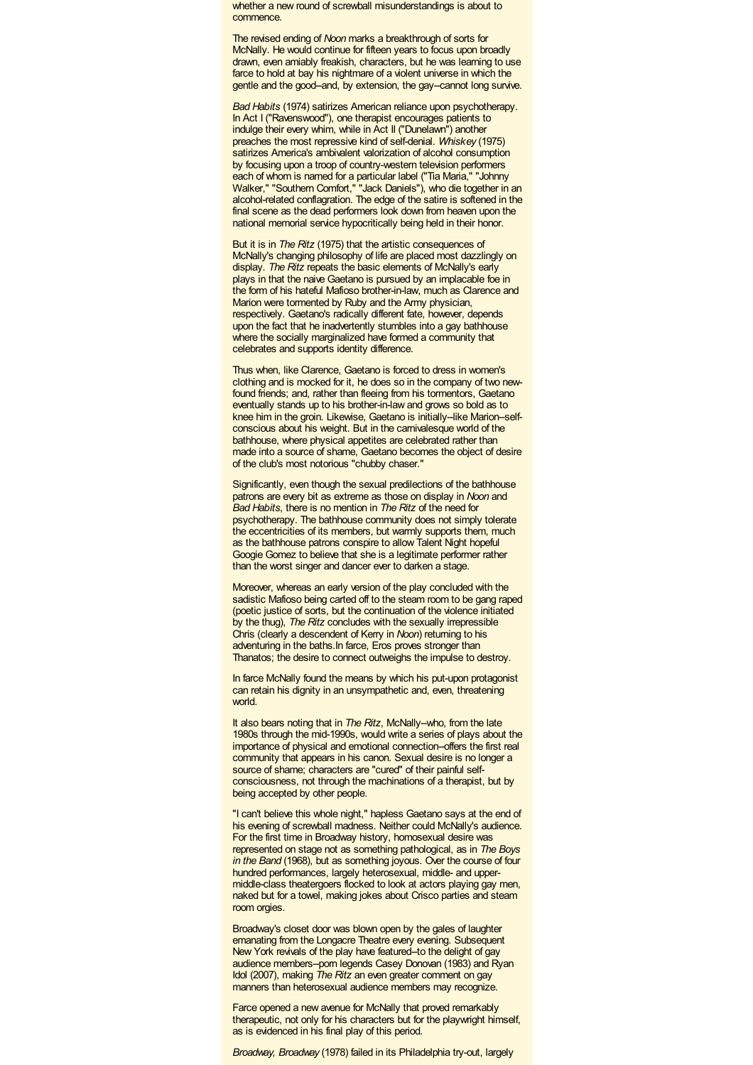whether a new round of screwball misunderstandings is about to commence.

The revised ending of *Noon* marks a breakthrough of sorts for McNally. He would continue for fifteen years to focus upon broadly drawn, even amiably freakish, characters, but he was learning to use farce to hold at bay his nightmare of a violent universe in which the gentle and the good--and, by extension, the gay--cannot long survive.

*Bad Habits* (1974) satirizes American reliance upon psychotherapy. In Act I ("Ravenswood"), one therapist encourages patients to indulge their every whim, while in Act II ("Dunelawn") another preaches the most repressive kind of self-denial. *Whiskey* (1975) satirizes America's ambivalent valorization of alcohol consumption by focusing upon a troop of country-western television performers each of whom is named for a particular label ("Tia Maria," "Johnny Walker," "Southern Comfort," "Jack Daniels"), who die together in an alcohol-related conflagration. The edge of the satire is softened in the final scene as the dead performers look down from heaven upon the national memorial service hypocritically being held in their honor.

But it is in *The Ritz* (1975) that the artistic consequences of McNally's changing philosophy of life are placed most dazzlingly on display. *The Ritz* repeats the basic elements of McNally's early plays in that the naive Gaetano is pursued by an implacable foe in the form of his hateful Mafioso brother-in-law, much as Clarence and Marion were tormented by Ruby and the Army physician, respectively. Gaetano's radically different fate, however, depends upon the fact that he inadvertently stumbles into a gay bathhouse where the socially marginalized have formed a community that celebrates and supports identity difference.

Thus when, like Clarence, Gaetano is forced to dress in women's clothing and is mocked for it, he does so in the company of two newfound friends; and, rather than fleeing from his tormentors, Gaetano eventually stands up to his brother-in-law and grows so bold as to knee him in the groin. Likewise, Gaetano is initially-like Marion-selfconscious about his weight. But in the carnivalesque world of the bathhouse, where physical appetites are celebrated rather than made into a source of shame, Gaetano becomes the object of desire of the club's most notorious "chubby chaser."

Significantly, even though the sexual predilections of the bathhouse patrons are every bit as extreme as those on display in *Noon* and *Bad Habits*, there is no mention in *The Ritz* of the need for psychotherapy. The bathhouse community does not simply tolerate the eccentricities of its members, but warmly supports them, much as the bathhouse patrons conspire to allow Talent Night hopeful Googie Gomez to believe that she is a legitimate performer rather than the worst singer and dancer ever to darken a stage.

Moreover, whereas an early version of the play concluded with the sadistic Mafioso being carted off to the steam room to be gang raped (poetic justice of sorts, but the continuation of the violence initiated by the thug), *The Ritz* concludes with the sexually irrepressible Chris (clearly a descendent of Kerry in *Noon*) returning to his adventuring in the baths.In farce, Eros proves stronger than Thanatos; the desire to connect outweighs the impulse to destroy.

In farce McNally found the means by which his put-upon protagonist can retain his dignity in an unsympathetic and, even, threatening world.

It also bears noting that in *The Ritz*, McNally--who, from the late 1980s through the mid-1990s, would write a series of plays about the importance of physical and emotional connection--offers the first real community that appears in his canon. Sexual desire is no longer a source of shame; characters are "cured" of their painful selfconsciousness, not through the machinations of a therapist, but by being accepted by other people.

"I can't believe this whole night," hapless Gaetano says at the end of his evening of screwball madness. Neither could McNally's audience. For the first time in Broadway history, homosexual desire was represented on stage not as something pathological, as in *The Boys in the Band* (1968), but as something joyous. Over the course of four hundred performances, largely heterosexual, middle- and uppermiddle-class theatergoers flocked to look at actors playing gay men, naked but for a towel, making jokes about Crisco parties and steam room orgies.

Broadway's closet door was blown open by the gales of laughter emanating from the Longacre Theatre every evening. Subsequent New York revivals of the play have featured-to the delight of gay audience members--porn legends Casey Donovan (1983) and Ryan Idol (2007), making *The Ritz* an even greater comment on gay manners than heterosexual audience members may recognize.

Farce opened a new avenue for McNally that proved remarkably therapeutic, not only for his characters but for the playwright himself, as is evidenced in his final play of this period.

*Broadway, Broadway* (1978) failed in its Philadelphia try-out, largely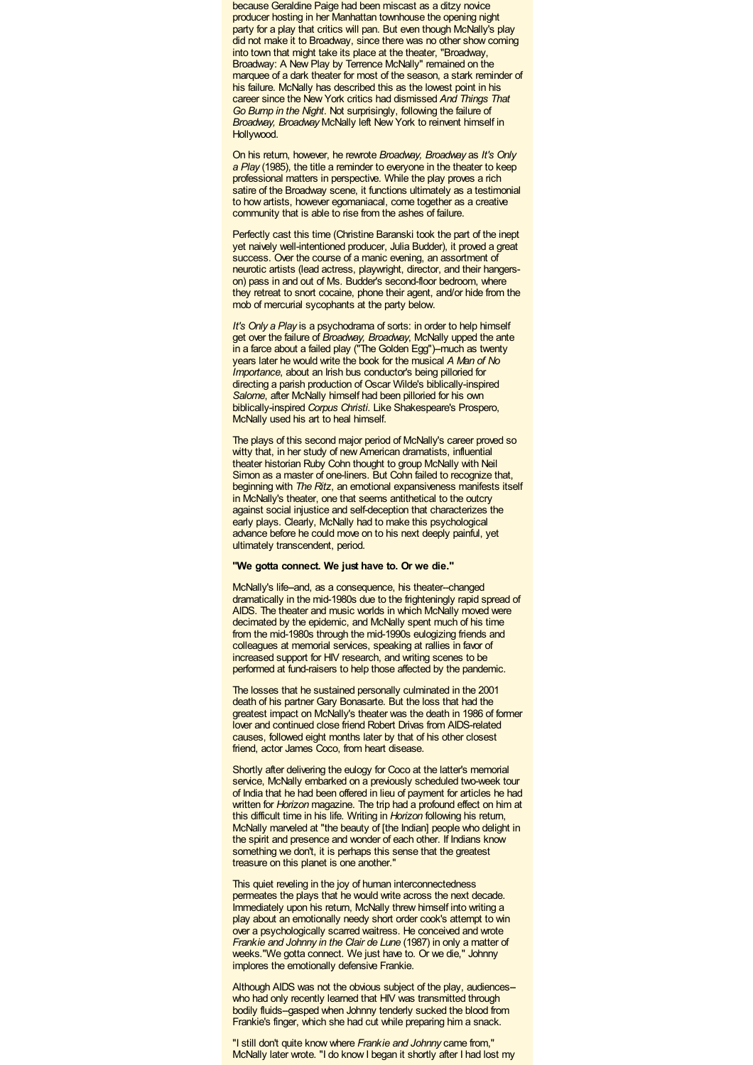because Geraldine Paige had been miscast as a ditzy novice producer hosting in her Manhattan townhouse the opening night party for a play that critics will pan. But even though McNally's play did not make it to Broadway, since there was no other show coming into town that might take its place at the theater, "Broadway, Broadway: A New Play by Terrence McNally" remained on the marquee of a dark theater for most of the season, a stark reminder of his failure. McNally has described this as the lowest point in his career since the New York critics had dismissed *And Things That Go Bump in the Night*. Not surprisingly, following the failure of *Broadway, Broadway* McNally left New York to reinvent himself in Hollywood.

On his return, however, he rewrote *Broadway, Broadway* as *It's Only a Play* (1985), the title a reminder to everyone in the theater to keep professional matters in perspective. While the play proves a rich satire of the Broadway scene, it functions ultimately as a testimonial to how artists, however egomaniacal, come together as a creative community that is able to rise from the ashes of failure.

Perfectly cast this time (Christine Baranski took the part of the inept yet naively well-intentioned producer, Julia Budder), it proved a great success. Over the course of a manic evening, an assortment of neurotic artists (lead actress, playwright, director, and their hangerson) pass in and out of Ms. Budder's second-floor bedroom, where they retreat to snort cocaine, phone their agent, and/or hide from the mob of mercurial sycophants at the party below.

*It's Only a Play* is a psychodrama of sorts: in order to help himself get over the failure of *Broadway, Broadway*, McNally upped the ante in a farce about a failed play ("The Golden Egg")-much as twenty years later he would write the book for the musical *A Man of No Importance*, about an Irish bus conductor's being pilloried for directing a parish production of Oscar Wilde's biblically-inspired *Salome*, after McNally himself had been pilloried for his own biblically-inspired *Corpus Christi*. Like Shakespeare's Prospero, McNally used his art to heal himself.

The plays of this second major period of McNally's career proved so witty that, in her study of new American dramatists, influential theater historian Ruby Cohn thought to group McNally with Neil Simon as a master of one-liners. But Cohn failed to recognize that, beginning with *The Ritz*, an emotional expansiveness manifests itself in McNally's theater, one that seems antithetical to the outcry against social injustice and self-deception that characterizes the early plays. Clearly, McNally had to make this psychological advance before he could move on to his next deeply painful, yet ultimately transcendent, period.

### **"We gotta connect. We just have to. Or we die."**

McNally's life-and, as a consequence, his theater--changed dramatically in the mid-1980s due to the frighteningly rapid spread of AIDS. The theater and music worlds in which McNally moved were decimated by the epidemic, and McNally spent much of his time from the mid-1980s through the mid-1990s eulogizing friends and colleagues at memorial services, speaking at rallies in favor of increased support for HIV research, and writing scenes to be performed at fund-raisers to help those affected by the pandemic.

The losses that he sustained personally culminated in the 2001 death of his partner Gary Bonasarte. But the loss that had the greatest impact on McNally's theater was the death in 1986 of former lover and continued close friend Robert Drivas from AIDS-related causes, followed eight months later by that of his other closest friend, actor James Coco, from heart disease.

Shortly after delivering the eulogy for Coco at the latter's memorial service, McNally embarked on a previously scheduled two-week tour of India that he had been offered in lieu of payment for articles he had written for *Horizon* magazine. The trip had a profound effect on him at this difficult time in his life. Writing in *Horizon* following his return, McNally marveled at "the beauty of [the Indian] people who delight in the spirit and presence and wonder of each other. If Indians know something we don't, it is perhaps this sense that the greatest treasure on this planet is one another."

This quiet reveling in the joy of human interconnectedness permeates the plays that he would write across the next decade. Immediately upon his return, McNally threw himself into writing a play about an emotionally needy short order cook's attempt to win over a psychologically scarred waitress. He conceived and wrote *Frankie and Johnny in the Clair de Lune* (1987) in only a matter of weeks."We gotta connect. We just have to. Or we die," Johnny implores the emotionally defensive Frankie.

Although AIDS was not the obvious subject of the play, audiences- who had only recently learned that HIV was transmitted through bodily fluids--gasped when Johnny tenderly sucked the blood from Frankie's finger, which she had cut while preparing him a snack.

"I still don't quite know where *Frankie and Johnny* came from," McNally later wrote. "I do know I began it shortly after I had lost my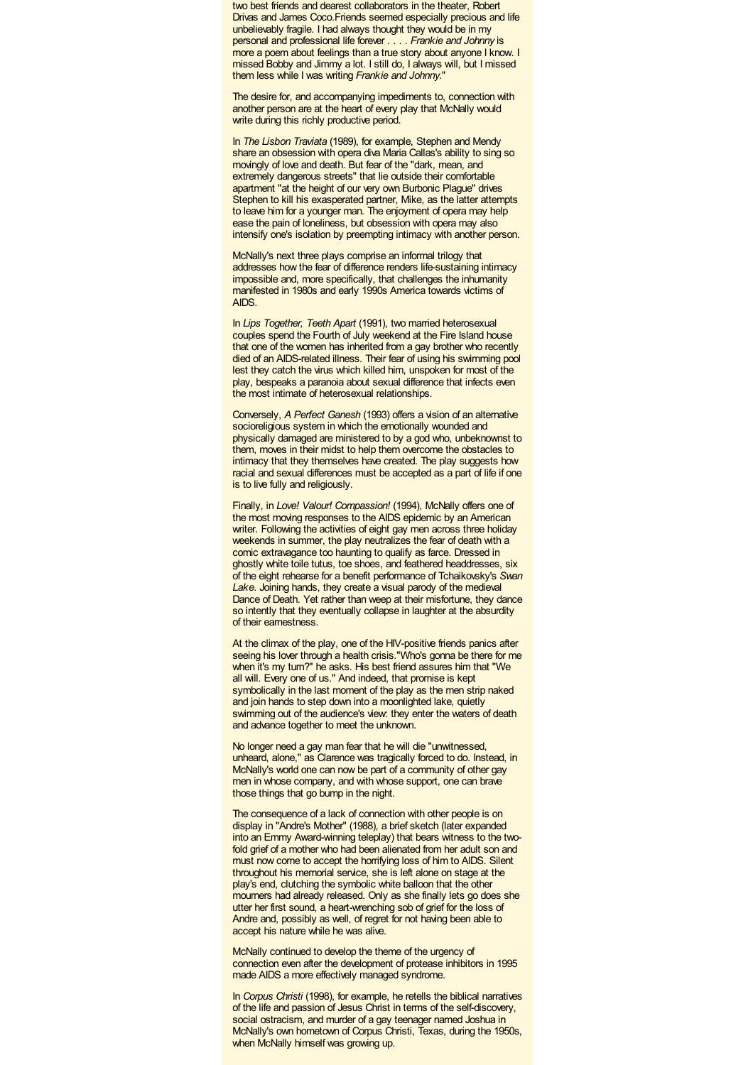two best friends and dearest collaborators in the theater, Robert Drivas and James Coco.Friends seemed especially precious and life unbelievably fragile. I had always thought they would be in my personal and professional life forever . . . . *Frankie and Johnny* is more a poem about feelings than a true story about anyone I know. I missed Bobby and Jimmy a lot. I still do, I always will, but I missed them less while I was writing *Frankie and Johnny*."

The desire for, and accompanying impediments to, connection with another person are at the heart of every play that McNally would write during this richly productive period.

In *The Lisbon Traviata* (1989), for example, Stephen and Mendy share an obsession with opera diva Maria Callas's ability to sing so movingly of love and death. But fear of the "dark, mean, and extremely dangerous streets" that lie outside their comfortable apartment "at the height of our very own Burbonic Plague" drives Stephen to kill his exasperated partner. Mike, as the latter attempts to leave him for a younger man. The enjoyment of opera may help ease the pain of loneliness, but obsession with opera may also intensify one's isolation by preempting intimacy with another person.

McNally's next three plays comprise an informal trilogy that addresses how the fear of difference renders life-sustaining intimacy impossible and, more specifically, that challenges the inhumanity manifested in 1980s and early 1990s America towards victims of AIDS.

In *Lips Together, Teeth Apart* (1991), two married heterosexual couples spend the Fourth of July weekend at the Fire Island house that one of the women has inherited from a gay brother who recently died of an AIDS-related illness. Their fear of using his swimming pool lest they catch the virus which killed him, unspoken for most of the play, bespeaks a paranoia about sexual difference that infects even the most intimate of heterosexual relationships.

Conversely, *A Perfect Ganesh* (1993) offers a vision of an alternative socioreligious system in which the emotionally wounded and physically damaged are ministered to by a god who, unbeknownst to them, moves in their midst to help them overcome the obstacles to intimacy that they themselves have created. The play suggests how racial and sexual differences must be accepted as a part of life if one is to live fully and religiously.

Finally, in *Love! Valour! Compassion!* (1994), McNally offers one of the most moving responses to the AIDS epidemic by an American writer. Following the activities of eight gay men across three holiday weekends in summer, the play neutralizes the fear of death with a comic extravagance too haunting to qualify as farce. Dressed in ghostly white toile tutus, toe shoes, and feathered headdresses, six of the eight rehearse for a benefit performance of Tchaikovsky's *Swan Lake*. Joining hands, they create a visual parody of the medieval Dance of Death. Yet rather than weep at their misfortune, they dance so intently that they eventually collapse in laughter at the absurdity of their earnestness.

At the climax of the play, one of the HIV-positive friends panics after seeing his lover through a health crisis."Who's gonna be there for me when it's my turn?" he asks. His best friend assures him that "We all will. Every one of us." And indeed, that promise is kept symbolically in the last moment of the play as the men strip naked and join hands to step down into a moonlighted lake, quietly swimming out of the audience's view: they enter the waters of death and advance together to meet the unknown.

No longer need a gay man fear that he will die "unwitnessed, unheard, alone," as Clarence was tragically forced to do. Instead, in McNally's world one can now be part of a community of other gay men in whose company, and with whose support, one can brave those things that go bump in the night.

The consequence of a lack of connection with other people is on display in "Andre's Mother" (1988), a brief sketch (later expanded into an Emmy Award-winning teleplay) that bears witness to the twofold grief of a mother who had been alienated from her adult son and must now come to accept the horrifying loss of him to AIDS. Silent throughout his memorial service, she is left alone on stage at the play's end, clutching the symbolic white balloon that the other mourners had already released. Only as she finally lets go does she utter her first sound, a heart-wrenching sob of grief for the loss of Andre and, possibly as well, of regret for not having been able to accept his nature while he was alive.

McNally continued to develop the theme of the urgency of connection even after the development of protease inhibitors in 1995 made AIDS a more effectively managed syndrome.

In *Corpus Christi* (1998), for example, he retells the biblical narratives of the life and passion of Jesus Christ in terms of the self-discovery, social ostracism, and murder of a gay teenager named Joshua in McNally's own hometown of Corpus Christi, Texas, during the 1950s, when McNally himself was growing up.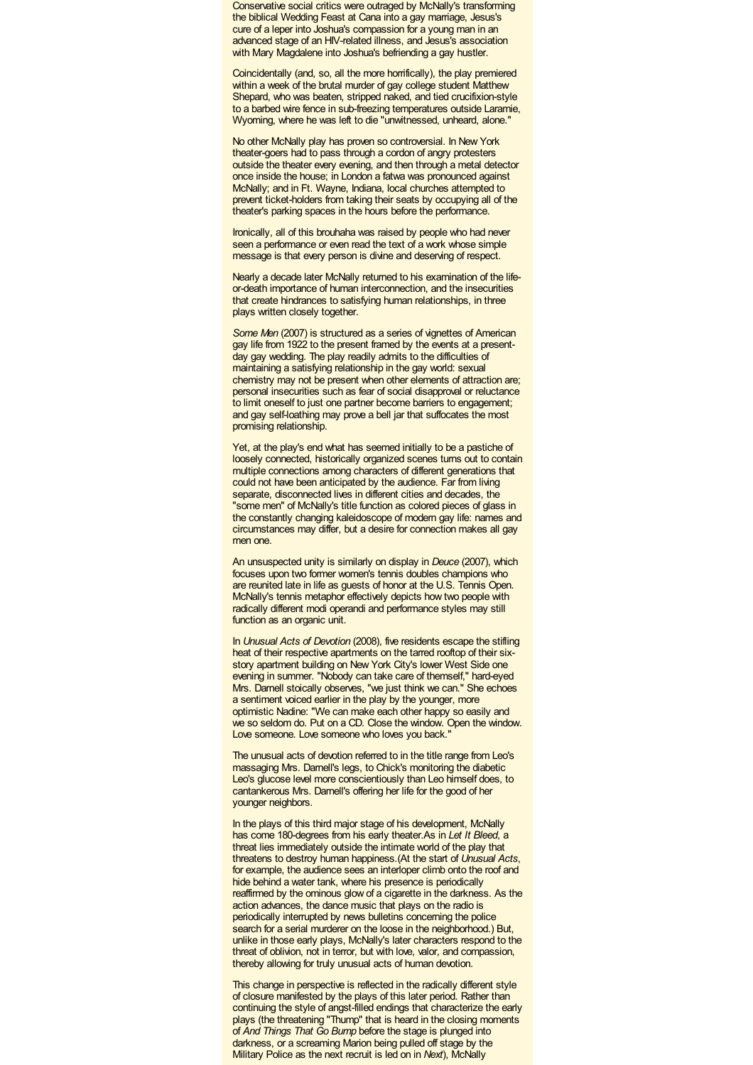Conservative social critics were outraged by McNally's transforming the biblical Wedding Feast at Cana into a gay marriage, Jesus's cure of a leper into Joshua's compassion for a young man in an advanced stage of an HIV-related illness, and Jesus's association with Mary Magdalene into Joshua's befriending a gay hustler.

Coincidentally (and, so, all the more horrifically), the play premiered within a week of the brutal murder of gay college student Matthew Shepard, who was beaten, stripped naked, and tied crucifixion-style to <sup>a</sup> barbed wire fence in sub-freezing temperatures outside Laramie, Wyoming, where he was left to die "unwitnessed, unheard, alone."

No other McNally play has proven so controversial. In New York theater-goers had to pass through a cordon of angry protesters outside the theater every evening, and then through a metal detector once inside the house; in London a fatwa was pronounced against McNally; and in Ft. Wayne, Indiana, local churches attempted to prevent ticket-holders from taking their seats by occupying all of the theater's parking spaces in the hours before the performance.

Ironically, all of this brouhaha was raised by people who had never seen a performance or even read the text of a work whose simple message is that every person is divine and deserving of respect.

Nearly a decade later McNally returned to his examination of the lifeor-death importance of human interconnection, and the insecurities that create hindrances to satisfying human relationships, in three plays written closely together.

**Some Men (2007) is structured as a series of vignettes of American** gay life from 1922 to the present framed by the events at a presentday gay wedding. The play readily admits to the difficulties of maintaining a satisfying relationship in the gay world: sexual chemistry may not be present when other elements of attraction are; personal insecurities such as fear of social disapproval or reluctance to limit oneself to just one partner become barriers to engagement; and gay self-loathing may prove a bell jar that suffocates the most promising relationship.

Yet, at the play's end what has seemed initially to be a pastiche of loosely connected, historically organized scenes turns out to contain multiple connections among characters of different generations that could not have been anticipated by the audience. Far from living separate, disconnected lives in different cities and decades, the "some men" of McNally's title function as colored pieces of glass in the constantly changing kaleidoscope of modern gay life: names and circumstances may differ, but a desire for connection makes all gay men one.

An unsuspected unity is similarly on display in *Deuce* (2007), which focuses upon two former women's tennis doubles champions who are reunited late in life as guests of honor at the U.S. Tennis Open. McNally's tennis metaphor effectively depicts how two people with radically different modi operandi and performance styles may still function as an organic unit.

In *Unusual Acts of Devotion* (2008), five residents escape the stifling heat of their respective apartments on the tarred rooftop of their sixstory apartment building on New York City's lower West Side one evening in summer. "Nobody can take care of themself," hard-eyed Mrs. Darnell stoically observes, "we just think we can." She echoes a sentiment voiced earlier in the play by the younger, more optimistic Nadine: "We can make each other happy so easily and we so seldom do. Put on a CD. Close the window. Open the window. Love someone. Love someone who loves you back."

The unusual acts of devotion referred to in the title range from Leo's massaging Mrs. Darnell's legs, to Chick's monitoring the diabetic Leo's glucose level more conscientiously than Leo himself does, to cantankerous Mrs. Darnell's offering her life for the good of her younger neighbors.

In the plays of this third major stage of his development, McNally has come 180-degrees from his early theater.As in *Let It Bleed*, a threat lies immediately outside the intimate world of the play that threatens to destroy human happiness.(At the start of *Unusual Acts*, for example, the audience sees an interloper climb onto the roof and hide behind a water tank, where his presence is periodically reaffirmed by the ominous glow of a cigarette in the darkness. As the action advances, the dance music that plays on the radio is periodically interrupted by news bulletins concerning the police search for a serial murderer on the loose in the neighborhood.) But, unlike in those early plays, McNally's later characters respond to the threat of oblivion, not in terror, but with love, valor, and compassion, thereby allowing for truly unusual acts of human devotion.

This change in perspective is reflected in the radically different style of closure manifested by the plays of this later period. Rather than continuing the style of angst-filled endings that characterize the early plays (the threatening "Thump" that is heard in the closing moments of *And Things That Go Bump* before the stage is plunged into darkness, or a screaming Marion being pulled off stage by the Military Police as the next recruit is led on in *Next*), McNally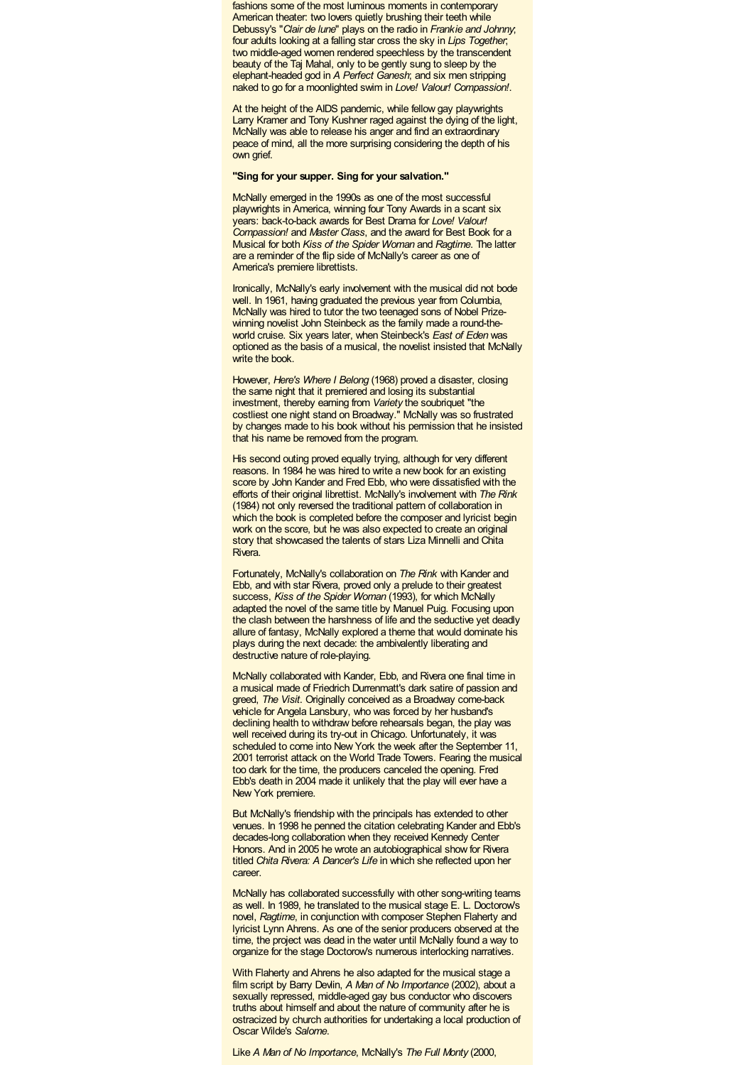fashions some of the most luminous moments in contemporary American theater: two lovers quietly brushing their teeth while Debussy's "*Clair de lune*" plays on the radio in *Frankie and Johnny*; four adults looking at a falling star cross the sky in *Lips Together*; two middle-aged women rendered speechless by the transcendent beauty of the Taj Mahal, only to be gently sung to sleep by the elephant-headed god in *A Perfect Ganesh*; and six men stripping naked to go for a moonlighted swim in *Love! Valour! Compassion!*.

At the height of the AIDS pandemic, while fellow gay playwrights Larry Kramer and Tony Kushner raged against the dying of the light, McNally was able to release his anger and find an extraordinary peace of mind, all the more surprising considering the depth of his own grief.

### **"Sing for your supper. Sing for your salvation."**

McNally emerged in the 1990s as one of the most successful playwrights in America, winning four Tony Awards in a scant six years: back-to-back awards for Best Drama for *Love! Valour! Compassion!* and *Master Class*, and the award for Best Book for a Musical for both *Kiss of the Spider Woman* and *Ragtime*. The latter are a reminder of the flip side of McNally's career as one of America's premiere librettists.

Ironically, McNally's early involvement with the musical did not bode well. In 1961, having graduated the previous year from Columbia, McNally was hired to tutor the two teenaged sons of Nobel Prizewinning novelist John Steinbeck as the family made a round-theworld cruise. Six years later, when Steinbeck's *East of Eden* was optioned as the basis of a musical, the novelist insisted that McNally write the book.

However, *Here's Where I Belong* (1968) proved a disaster, closing the same night that it premiered and losing its substantial investment, thereby earning from *Variety* the soubriquet "the costliest one night stand on Broadway." McNally was so frustrated by changes made to his book without his permission that he insisted that his name be removed from the program.

His second outing proved equally trying, although for very different reasons. In 1984 he was hired to write a new book for an existing score by John Kander and Fred Ebb, who were dissatisfied with the efforts of their original librettist. McNally's involvement with *The Rink* (1984) not only reversed the traditional pattern of collaboration in which the book is completed before the composer and lyricist begin work on the score, but he was also expected to create an original story that showcased the talents of stars Liza Minnelli and Chita Rivera.

Fortunately, McNally's collaboration on *The Rink* with Kander and Ebb, and with star Rivera, proved only a prelude to their greatest success, *Kiss of the Spider Woman* (1993), for which McNally adapted the novel of the same title by Manuel Puig. Focusing upon the clash between the harshness of life and the seductive yet deadly allure of fantasy, McNally explored a theme that would dominate his plays during the next decade: the ambivalently liberating and destructive nature of role-playing.

McNally collaborated with Kander, Ebb, and Rivera one final time in a musical made of Friedrich Durrenmatt's dark satire of passion and greed, *The Visit*. Originally conceived as a Broadway come-back vehicle for Angela Lansbury, who was forced by her husband's declining health to withdraw before rehearsals began, the play was well received during its try-out in Chicago. Unfortunately, it was scheduled to come into New York the week after the September 11, 2001 terrorist attack on the World Trade Towers. Fearing the musical too dark for the time, the producers canceled the opening. Fred Ebb's death in 2004 made it unlikely that the play will ever have a New York premiere.

But McNally's friendship with the principals has extended to other venues. In 1998 he penned the citation celebrating Kander and Ebb's decades-long collaboration when they received Kennedy Center Honors. And in 2005 he wrote an autobiographical show for Rivera titled *Chita Rivera: A Dancer's Life* in which she reflected upon her career.

McNally has collaborated successfully with other song-writing teams as well. In 1989, he translated to the musical stage E. L. Doctorow's novel, *Ragtime*, in conjunction with composer Stephen Flaherty and lyricist Lynn Ahrens. As one of the senior producers observed at the time, the project was dead in the water until McNally found a way to organize for the stage Doctorow's numerous interlocking narratives.

With Flaherty and Ahrens he also adapted for the musical stage a film script by Barry Devlin, *A Man of No Importance* (2002), about a sexually repressed, middle-aged gay bus conductor who discovers truths about himself and about the nature of community after he is ostracized by church authorities for undertaking a local production of Oscar Wilde's *Salome*.

Like *A Man of No Importance*, McNally's *The Full Monty* (2000,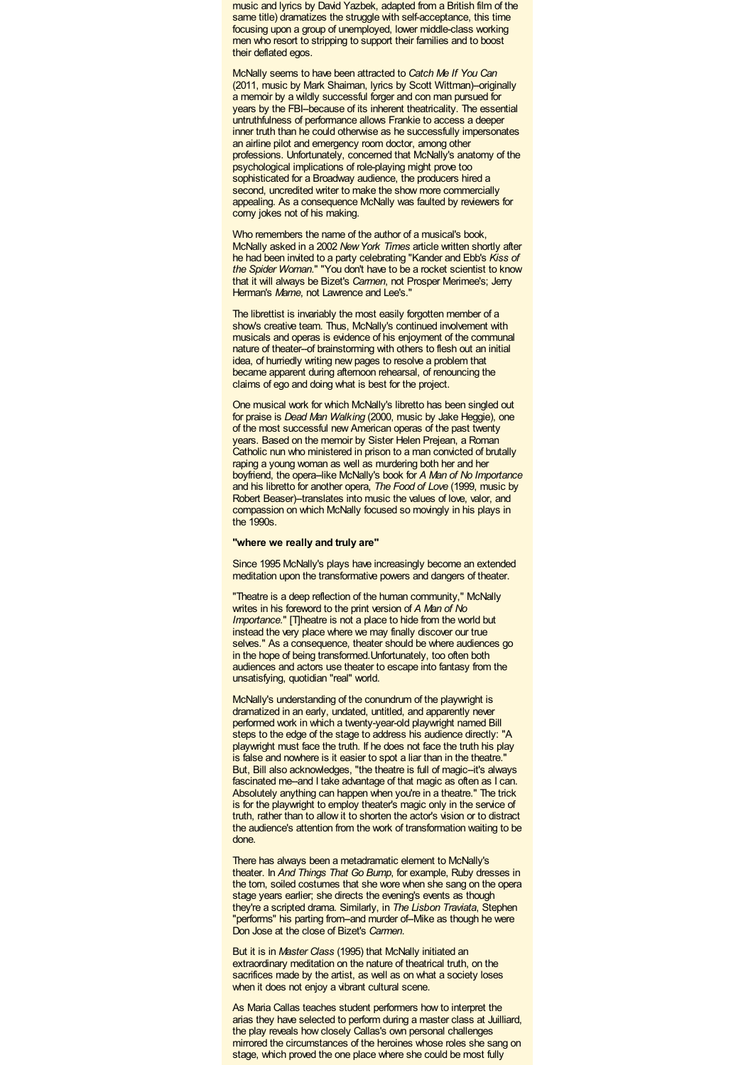music and lyrics by David Yazbek, adapted from a British film of the same title) dramatizes the struggle with self-acceptance, this time focusing upon a group of unemployed, lower middle-class working men who resort to stripping to support their families and to boost their deflated egos.

McNally seems to have been attracted to *Catch Me If You Can* (2011, music by Mark Shaiman, lyrics by Scott Wittman)--originally a memoir by a wildly successful forger and con man pursued for years by the FBI--because of its inherent theatricality. The essential untruthfulness of performance allows Frankie to access a deeper inner truth than he could otherwise as he successfully impersonates an airline pilot and emergency room doctor, among other professions. Unfortunately, concerned that McNally's anatomy of the psychological implications of role-playing might prove too sophisticated for a Broadway audience, the producers hired a second, uncredited writer to make the show more commercially appealing. As a consequence McNally was faulted by reviewers for corny jokes not of his making.

Who remembers the name of the author of a musical's book, McNally asked in a 2002 *NewYork Times* article written shortly after he had been invited to a party celebrating "Kander and Ebb's *Kiss of the Spider Woman*." "You don't have to be a rocket scientist to know that it will always be Bizet's *Carmen*, not Prosper Merimee's; Jerry Herman's *Mame*, not Lawrence and Lee's."

The librettist is invariably the most easily forgotten member of a show's creative team. Thus, McNally's continued involvement with musicals and operas is evidence of his enjoyment of the communal nature of theater--of brainstorming with others to flesh out an initial idea, of hurriedly writing new pages to resolve a problem that became apparent during afternoon rehearsal, of renouncing the claims of ego and doing what is best for the project.

One musical work for which McNally's libretto has been singled out for praise is *Dead Man Walking* (2000, music by Jake Heggie), one of the most successful new American operas of the past twenty years. Based on the memoir by Sister Helen Prejean, a Roman Catholic nun who ministered in prison to a man convicted of brutally raping a young woman as well as murdering both her and her boyfriend, the opera--like McNally's book for *A Man of No Importance* and his libretto for another opera, *The Food of Love* (1999, music by Robert Beaser)--translates into music the values of love, valor, and compassion on which McNally focused so movingly in his plays in the 1990s.

### **"where we really and truly are"**

Since 1995 McNally's plays have increasingly become an extended meditation upon the transformative powers and dangers of theater.

"Theatre is a deep reflection of the human community," McNally writes in his foreword to the print version of *A Man of No Importance*." [T]heatre is not a place to hide from the world but instead the very place where we may finally discover our true selves." As a consequence, theater should be where audiences go in the hope of being transformed.Unfortunately, too often both audiences and actors use theater to escape into fantasy from the unsatisfying, quotidian "real" world.

McNally's understanding of the conundrum of the playwright is dramatized in an early, undated, untitled, and apparently never performed work in which a twenty-year-old playwright named Bill steps to the edge of the stage to address his audience directly: "A playwright must face the truth. If he does not face the truth his play is false and nowhere is it easier to spot a liar than in the theatre.' But, Bill also acknowledges, "the theatre is full of magic--it's always fascinated me-and I take advantage of that magic as often as I can. Absolutely anything can happen when you're in a theatre." The trick is for the playwright to employ theater's magic only in the service of truth, rather than to allow it to shorten the actor's vision or to distract the audience's attention from the work of transformation waiting to be done.

There has always been a metadramatic element to McNally's theater. In *And Things That Go Bump*, for example, Ruby dresses in the torn, soiled costumes that she wore when she sang on the opera stage years earlier; she directs the evening's events as though they're a scripted drama. Similarly, in *The Lisbon Traviata*, Stephen "performs" his parting from-and murder of-Mike as though he were Don Jose at the close of Bizet's *Carmen*.

But it is in *Master Class* (1995) that McNally initiated an extraordinary meditation on the nature of theatrical truth, on the sacrifices made by the artist, as well as on what a society loses when it does not enjoy a vibrant cultural scene.

As Maria Callas teaches student performers how to interpret the arias they have selected to perform during a master class at Juilliard, the play reveals how closely Callas's own personal challenges mirrored the circumstances of the heroines whose roles she sang on stage, which proved the one place where she could be most fully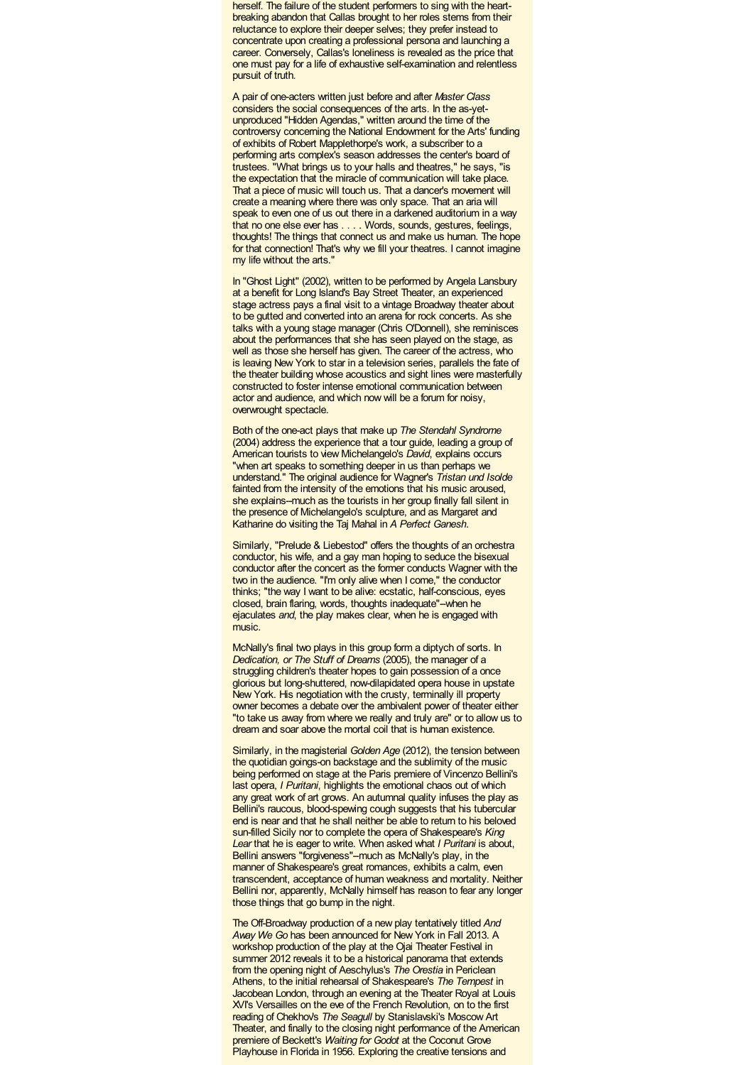herself. The failure of the student performers to sing with the heartbreaking abandon that Callas brought to her roles stems from their reluctance to explore their deeper selves; they prefer instead to concentrate upon creating a professional persona and launching a career. Conversely, Callas's loneliness is revealed as the price that one must pay for a life of exhaustive self-examination and relentless pursuit of truth.

A pair of one-acters written just before and after *Master Class* considers the social consequences of the arts. In the as-yetunproduced "Hidden Agendas," written around the time of the controversy concerning the National Endowment for the Arts' funding of exhibits of Robert Mapplethorpe's work, a subscriber to a performing arts complex's season addresses the center's board of trustees. "What brings us to your halls and theatres," he says, "is the expectation that the miracle of communication will take place. That a piece of music will touch us. That a dancer's movement will create a meaning where there was only space. That an aria will speak to even one of us out there in a darkened auditorium in a way that no one else ever has . . . . Words, sounds, gestures, feelings, thoughts! The things that connect us and make us human. The hope for that connection! That's why we fill your theatres. I cannot imagine my life without the arts."

In "Ghost Light" (2002), written to be performed by Angela Lansbury at a benefit for Long Island's Bay Street Theater, an experienced stage actress pays a final visit to a vintage Broadway theater about to be gutted and converted into an arena for rock concerts. As she talks with a young stage manager (Chris O'Donnell), she reminisces about the performances that she has seen played on the stage, as well as those she herself has given. The career of the actress, who is leaving New York to star in a television series, parallels the fate of the theater building whose acoustics and sight lines were masterfully constructed to foster intense emotional communication between actor and audience, and which now will be a forum for noisy, overwrought spectacle.

Both of the one-act plays that make up *The Stendahl Syndrome* (2004) address the experience that a tour guide, leading a group of American tourists to view Michelangelo's *David*, explains occurs "when art speaks to something deeper in us than perhaps we understand." The original audience for Wagner's *Tristan und Isolde* fainted from the intensity of the emotions that his music aroused, she explains--much as the tourists in her group finally fall silent in the presence of Michelangelo's sculpture, and as Margaret and Katharine do visiting the Taj Mahal in *A Perfect Ganesh*.

Similarly, "Prelude & Liebestod" offers the thoughts of an orchestra conductor, his wife, and a gay man hoping to seduce the bisexual conductor after the concert as the former conducts Wagner with the two in the audience. "I'm only alive when I come," the conductor thinks; "the way I want to be alive: ecstatic, half-conscious, eyes closed, brain flaring, words, thoughts inadequate"--when he ejaculates *and*, the play makes clear, when he is engaged with music.

McNally's final two plays in this group form a diptych of sorts. In *Dedication, or The Stuff of Dreams* (2005), the manager of a struggling children's theater hopes to gain possession of a once glorious but long-shuttered, now-dilapidated opera house in upstate New York. His negotiation with the crusty, terminally ill property owner becomes a debate over the ambivalent power of theater either "to take us away from where we really and truly are" or to allow us to dream and soar above the mortal coil that is human existence.

Similarly, in the magisterial *Golden Age* (2012), the tension between the quotidian goings-on backstage and the sublimity of the music being performed on stage at the Paris premiere of Vincenzo Bellini's last opera, *I Puritani*, highlights the emotional chaos out of which any great work of art grows. An autumnal quality infuses the play as Bellini's raucous, blood-spewing cough suggests that his tubercular end is near and that he shall neither be able to return to his beloved sun-filled Sicily nor to complete the opera of Shakespeare's *King Lear* that he is eager to write. When asked what *I Puritani* is about, Bellini answers "forgiveness"--much as McNally's play, in the manner of Shakespeare's great romances, exhibits a calm, even transcendent, acceptance of human weakness and mortality. Neither Bellini nor, apparently, McNally himself has reason to fear any longer those things that go bump in the night.

The Off-Broadway production of a new play tentatively titled *And Away We Go* has been announced for New York in Fall 2013. A workshop production of the play at the Ojai Theater Festival in summer 2012 reveals it to be a historical panorama that extends from the opening night of Aeschylus's *The Orestia* in Periclean Athens, to the initial rehearsal of Shakespeare's *The Tempest* in Jacobean London, through an evening at the Theater Royal at Louis XVI's Versailles on the eve of the French Revolution, on to the first reading of Chekhov's *The Seagull* by Stanislavski's Moscow Art Theater, and finally to the closing night performance of the American premiere of Beckett's *Waiting for Godot* at the Coconut Grove Playhouse in Florida in 1956. Exploring the creative tensions and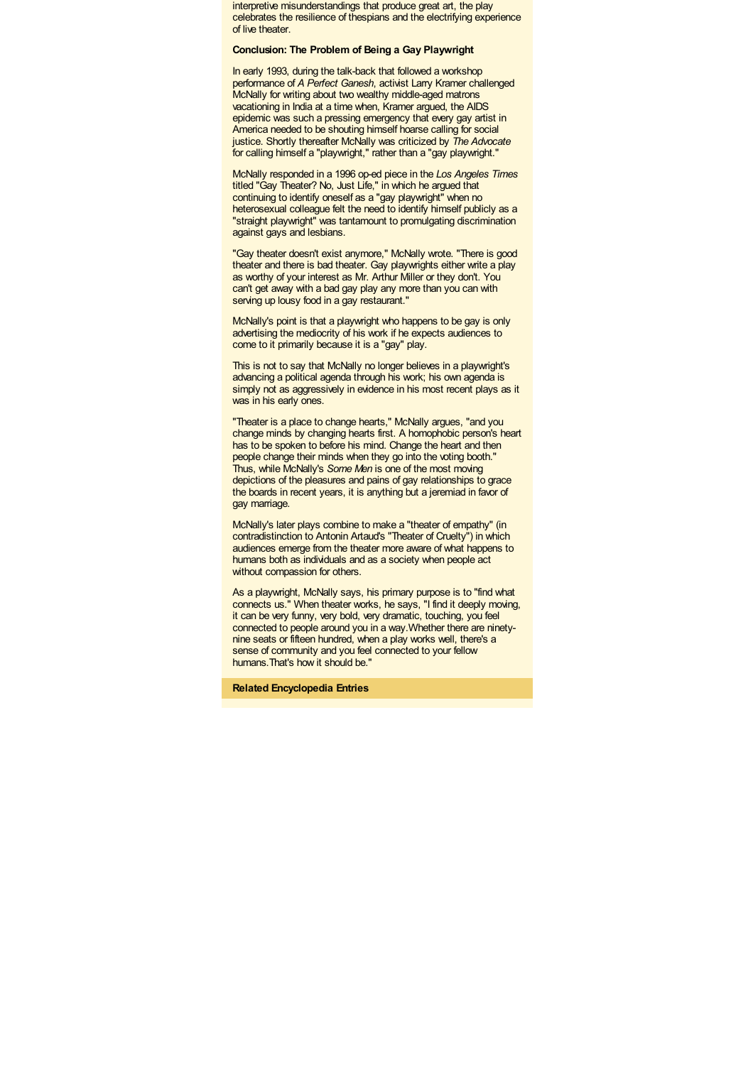interpretive misunderstandings that produce great art, the play celebrates the resilience of thespians and the electrifying experience of live theater.

### **Conclusion: The Problem of Being a Gay Playwright**

In early 1993, during the talk-back that followed a workshop performance of *A Perfect Ganesh*, activist Larry Kramer challenged McNally for writing about two wealthy middle-aged matrons vacationing in India at a time when, Kramer argued, the AIDS epidemic was such a pressing emergency that every gay artist in America needed to be shouting himself hoarse calling for social justice. Shortly thereafter McNally was criticized by *The Advocate* for calling himself a "playwright," rather than a "gay playwright."

McNally responded in a 1996 op-ed piece in the *Los Angeles Times* titled "Gay Theater? No, Just Life," in which he argued that continuing to identify oneself as a "gay playwright" when no heterosexual colleague felt the need to identify himself publicly as a "straight playwright" was tantamount to promulgating discrimination against gays and lesbians.

"Gay theater doesn't exist anymore," McNally wrote. "There is good theater and there is bad theater. Gay playwrights either write a play as worthy of your interest as Mr. Arthur Miller or they don't. You can't get away with a bad gay play any more than you can with serving up lousy food in a gay restaurant."

McNally's point is that a playwright who happens to be gay is only advertising the mediocrity of his work if he expects audiences to come to it primarily because it is a "gay" play.

This is not to say that McNally no longer believes in a playwright's advancing a political agenda through his work; his own agenda is simply not as aggressively in evidence in his most recent plays as it was in his early ones.

"Theater is a place to change hearts," McNally argues, "and you change minds by changing hearts first. A homophobic person's heart has to be spoken to before his mind. Change the heart and then people change their minds when they go into the voting booth." Thus, while McNally's *Some Men* is one of the most moving depictions of the pleasures and pains of gay relationships to grace the boards in recent years, it is anything but a jeremiad in favor of gay marriage.

McNally's later plays combine to make a "theater of empathy" (in contradistinction to Antonin Artaud's "Theater of Cruelty") in which audiences emerge from the theater more aware of what happens to humans both as individuals and as a society when people act without compassion for others.

As a playwright, McNally says, his primary purpose is to "find what connects us." When theater works, he says, "I find it deeply moving, it can be very funny, very bold, very dramatic, touching, you feel connected to people around you in a way.Whether there are ninetynine seats or fifteen hundred, when a play works well, there's a sense of community and you feel connected to your fellow humans.That's how it should be."

**Related Encyclopedia Entries**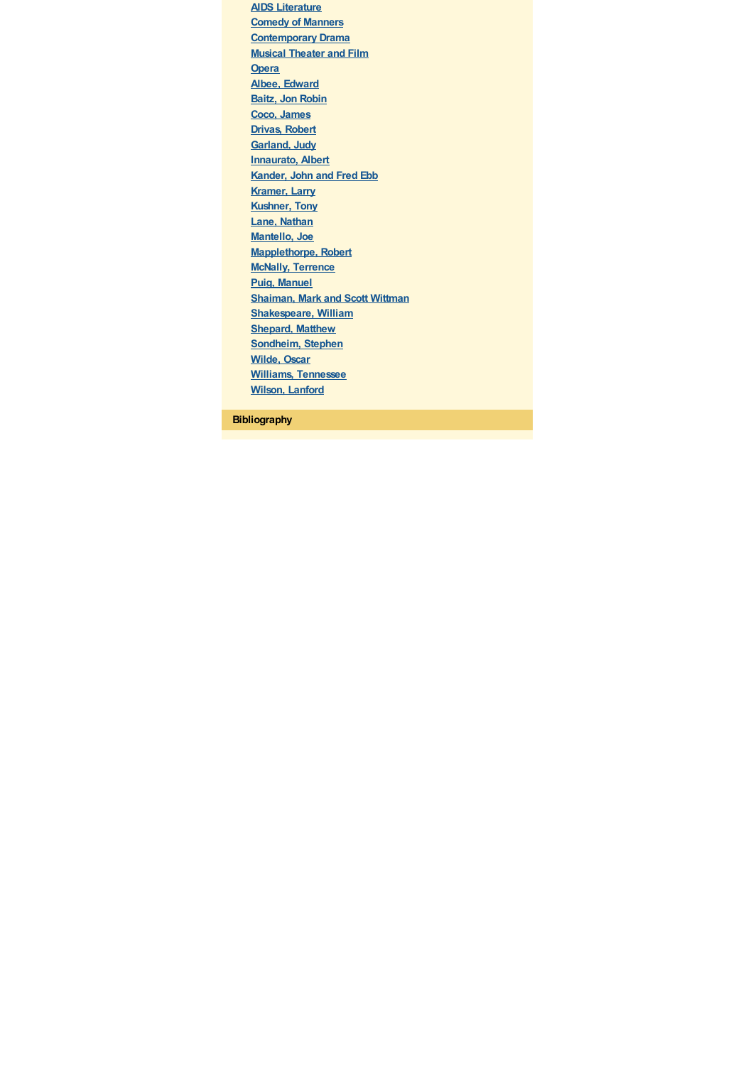**AIDS [Literature](/literature/aids_lit.html) [Comedy](/literature/comedy_manners.html) of Manners [Contemporary](/literature/contemp_drama.html) Drama Musical [Theater](/arts/music_zal_theater_film.html) and Film [Opera](/arts/opera.html) Albee, [Edward](/literature/albee_e.html) Baitz, Jon [Robin](/literature/baitz_jr.html) Coco, [James](/arts/coco_james.html) [Drivas,](/arts/drivas_robert.html) Robert [Garland,](/arts/garland_j.html) Judy [Innaurato,](/arts/innaurato_albert.html) Albert [Kander,](/arts/kander_j.html) John and Fred Ebb [Kramer,](/literature/kramer_l.html) Larry [Kushner,](/literature/kushner_t.html) Tony Lane, [Nathan](/arts/lane_n.html) [Mantello,](/arts/mantello_joe.html) Joe [Mapplethorpe,](/arts/mapplethorpe_r.html) Robert McNally, [Terrence](/literature/mcnally_t.html) Puig, [Manuel](/literature/puig_m.html) [Shaiman,](/arts/shaiman_m.html) Mark and Scott Wittman [Shakespeare,](/literature/shakespeare_w.html) William [Shepard,](/social-sciences/shepard_m.html) Matthew [Sondheim,](/arts/sondheim_s.html) Stephen [Wilde,](/literature/wilde_o.html) Oscar Williams, [Tennessee](/literature/williams_t.html) Wilson, [Lanford](/literature/wilson_l.html)**

**Bibliography**